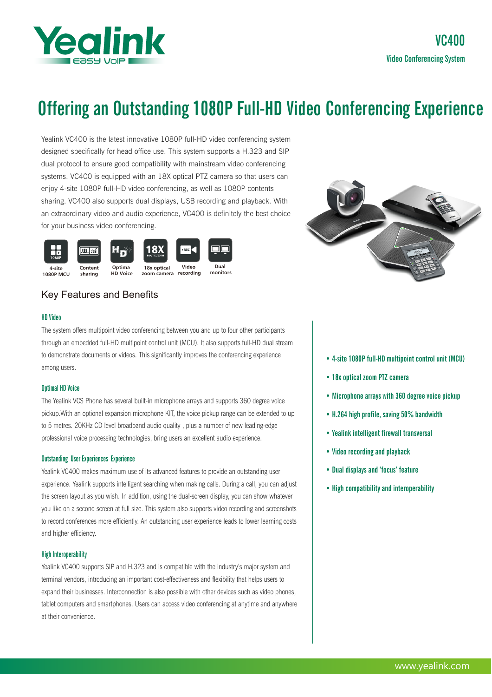

# Offering an Outstanding 1080P Full-HD Video Conferencing Experience

Yealink VC400 is the latest innovative 1080P full-HD video conferencing system designed specifically for head office use. This system supports a H.323 and SIP dual protocol to ensure good compatibility with mainstream video conferencing systems. VC400 is equipped with an 18X optical PTZ camera so that users can enjoy 4-site 1080P full-HD video conferencing, as well as 1080P contents sharing. VC400 also supports dual displays, USB recording and playback. With an extraordinary video and audio experience, VC400 is definitely the best choice for your business video conferencing.





# Key Features and Benefits

## HD Video

The system offers multipoint video conferencing between you and up to four other participants through an embedded full-HD multipoint control unit (MCU). It also supports full-HD dual stream to demonstrate documents or videos. This significantly improves the conferencing experience among users.

# Optimal HD Voice

The Yealink VCS Phone has several built-in microphone arrays and supports 360 degree voice pickup.With an optional expansion microphone KIT, the voice pickup range can be extended to up to 5 metres. 20KHz CD level broadband audio quality , plus a number of new leading-edge professional voice processing technologies, bring users an excellent audio experience.

# Outstanding User Experiences Experience

Yealink VC400 makes maximum use of its advanced features to provide an outstanding user experience. Yealink supports intelligent searching when making calls. During a call, you can adjust the screen layout as you wish. In addition, using the dual-screen display, you can show whatever you like on a second screen at full size. This system also supports video recording and screenshots to record conferences more efficiently. An outstanding user experience leads to lower learning costs and higher efficiency.

#### High Interoperability

Yealink VC400 supports SIP and H.323 and is compatible with the industry's major system and terminal vendors, introducing an important cost-effectiveness and flexibility that helps users to expand their businesses. Interconnection is also possible with other devices such as video phones, tablet computers and smartphones. Users can access video conferencing at anytime and anywhere at their convenience.

- 4-site 1080P full-HD multipoint control unit (MCU)
- 18x optical zoom PTZ camera
- Microphone arrays with 360 degree voice pickup
- H.264 high profile, saving 50% bandwidth
- Yealink intelligent firewall transversal
- Video recording and playback
- Dual displays and 'focus' feature
- High compatibility and interoperability